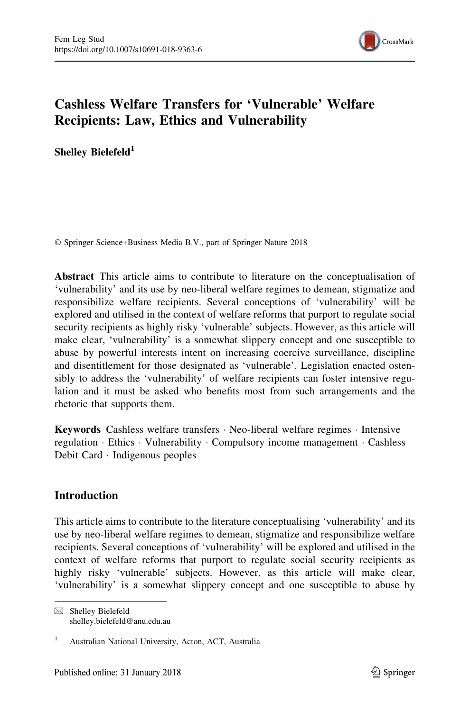

# Cashless Welfare Transfers for 'Vulnerable' Welfare Recipients: Law, Ethics and Vulnerability

Shelley Bielefeld $<sup>1</sup>$ </sup>

© Springer Science+Business Media B.V., part of Springer Nature 2018

Abstract This article aims to contribute to literature on the conceptualisation of 'vulnerability' and its use by neo-liberal welfare regimes to demean, stigmatize and responsibilize welfare recipients. Several conceptions of 'vulnerability' will be explored and utilised in the context of welfare reforms that purport to regulate social security recipients as highly risky 'vulnerable' subjects. However, as this article will make clear, 'vulnerability' is a somewhat slippery concept and one susceptible to abuse by powerful interests intent on increasing coercive surveillance, discipline and disentitlement for those designated as 'vulnerable'. Legislation enacted ostensibly to address the 'vulnerability' of welfare recipients can foster intensive regulation and it must be asked who benefits most from such arrangements and the rhetoric that supports them.

Keywords Cashless welfare transfers - Neo-liberal welfare regimes - Intensive regulation · Ethics · Vulnerability · Compulsory income management · Cashless Debit Card - Indigenous peoples

# **Introduction**

This article aims to contribute to the literature conceptualising 'vulnerability' and its use by neo-liberal welfare regimes to demean, stigmatize and responsibilize welfare recipients. Several conceptions of 'vulnerability' will be explored and utilised in the context of welfare reforms that purport to regulate social security recipients as highly risky 'vulnerable' subjects. However, as this article will make clear, 'vulnerability' is a somewhat slippery concept and one susceptible to abuse by

 $\boxtimes$  Shelley Bielefeld shelley.bielefeld@anu.edu.au

<sup>&</sup>lt;sup>1</sup> Australian National University, Acton, ACT, Australia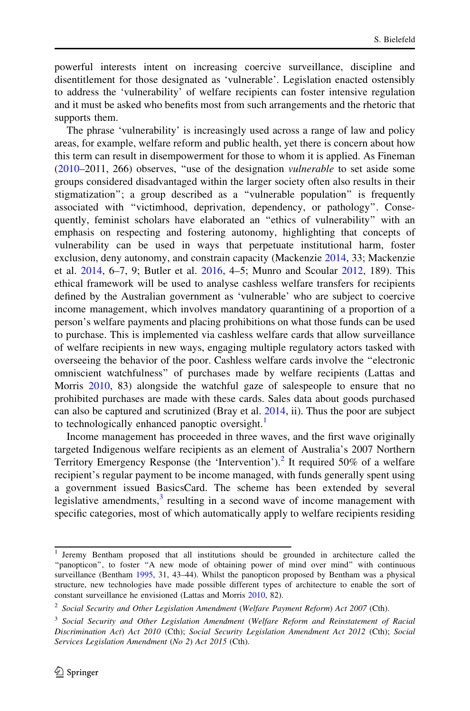powerful interests intent on increasing coercive surveillance, discipline and disentitlement for those designated as 'vulnerable'. Legislation enacted ostensibly to address the 'vulnerability' of welfare recipients can foster intensive regulation and it must be asked who benefits most from such arrangements and the rhetoric that supports them.

The phrase 'vulnerability' is increasingly used across a range of law and policy areas, for example, welfare reform and public health, yet there is concern about how this term can result in disempowerment for those to whom it is applied. As Fineman [\(2010](#page-21-0)–2011, 266) observes, ''use of the designation vulnerable to set aside some groups considered disadvantaged within the larger society often also results in their stigmatization''; a group described as a ''vulnerable population'' is frequently associated with ''victimhood, deprivation, dependency, or pathology''. Consequently, feminist scholars have elaborated an ''ethics of vulnerability'' with an emphasis on respecting and fostering autonomy, highlighting that concepts of vulnerability can be used in ways that perpetuate institutional harm, foster exclusion, deny autonomy, and constrain capacity (Mackenzie [2014,](#page-21-0) 33; Mackenzie et al. [2014,](#page-22-0) 6–7, 9; Butler et al. [2016](#page-20-0), 4–5; Munro and Scoular [2012,](#page-22-0) 189). This ethical framework will be used to analyse cashless welfare transfers for recipients defined by the Australian government as 'vulnerable' who are subject to coercive income management, which involves mandatory quarantining of a proportion of a person's welfare payments and placing prohibitions on what those funds can be used to purchase. This is implemented via cashless welfare cards that allow surveillance of welfare recipients in new ways, engaging multiple regulatory actors tasked with overseeing the behavior of the poor. Cashless welfare cards involve the ''electronic omniscient watchfulness'' of purchases made by welfare recipients (Lattas and Morris [2010,](#page-21-0) 83) alongside the watchful gaze of salespeople to ensure that no prohibited purchases are made with these cards. Sales data about goods purchased can also be captured and scrutinized (Bray et al. [2014](#page-20-0), ii). Thus the poor are subject to technologically enhanced panoptic oversight.<sup>1</sup>

Income management has proceeded in three waves, and the first wave originally targeted Indigenous welfare recipients as an element of Australia's 2007 Northern Territory Emergency Response (the 'Intervention').<sup>2</sup> It required 50% of a welfare recipient's regular payment to be income managed, with funds generally spent using a government issued BasicsCard. The scheme has been extended by several legislative amendments, $3$  resulting in a second wave of income management with specific categories, most of which automatically apply to welfare recipients residing

<sup>1</sup> Jeremy Bentham proposed that all institutions should be grounded in architecture called the ''panopticon'', to foster ''A new mode of obtaining power of mind over mind'' with continuous surveillance (Bentham [1995](#page-20-0), 31, 43–44). Whilst the panopticon proposed by Bentham was a physical structure, new technologies have made possible different types of architecture to enable the sort of constant surveillance he envisioned (Lattas and Morris [2010](#page-21-0), 82).

 $2$  Social Security and Other Legislation Amendment (Welfare Payment Reform) Act 2007 (Cth).

<sup>&</sup>lt;sup>3</sup> Social Security and Other Legislation Amendment (Welfare Reform and Reinstatement of Racial Discrimination Act) Act 2010 (Cth); Social Security Legislation Amendment Act 2012 (Cth); Social Services Legislation Amendment (No 2) Act 2015 (Cth).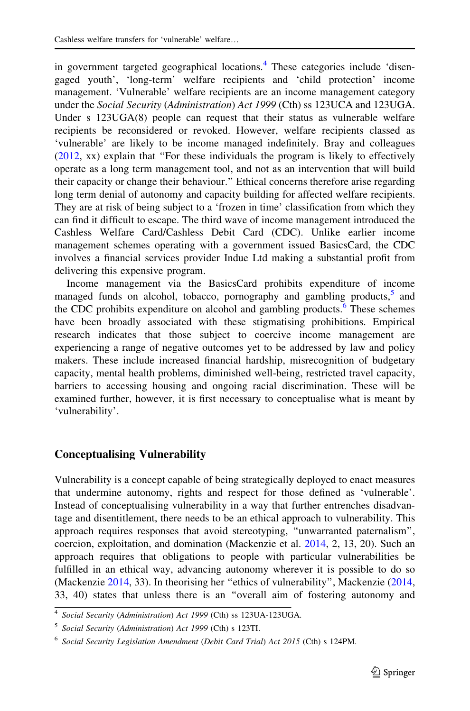in government targeted geographical locations.<sup>4</sup> These categories include 'disengaged youth', 'long-term' welfare recipients and 'child protection' income management. 'Vulnerable' welfare recipients are an income management category under the Social Security (Administration) Act 1999 (Cth) ss 123UCA and 123UGA. Under s 123UGA(8) people can request that their status as vulnerable welfare recipients be reconsidered or revoked. However, welfare recipients classed as 'vulnerable' are likely to be income managed indefinitely. Bray and colleagues [\(2012](#page-20-0), xx) explain that ''For these individuals the program is likely to effectively operate as a long term management tool, and not as an intervention that will build their capacity or change their behaviour.'' Ethical concerns therefore arise regarding long term denial of autonomy and capacity building for affected welfare recipients. They are at risk of being subject to a 'frozen in time' classification from which they can find it difficult to escape. The third wave of income management introduced the Cashless Welfare Card/Cashless Debit Card (CDC). Unlike earlier income management schemes operating with a government issued BasicsCard, the CDC involves a financial services provider Indue Ltd making a substantial profit from delivering this expensive program.

Income management via the BasicsCard prohibits expenditure of income managed funds on alcohol, tobacco, pornography and gambling products,  $5$  and the CDC prohibits expenditure on alcohol and gambling products.<sup>6</sup> These schemes have been broadly associated with these stigmatising prohibitions. Empirical research indicates that those subject to coercive income management are experiencing a range of negative outcomes yet to be addressed by law and policy makers. These include increased financial hardship, misrecognition of budgetary capacity, mental health problems, diminished well-being, restricted travel capacity, barriers to accessing housing and ongoing racial discrimination. These will be examined further, however, it is first necessary to conceptualise what is meant by 'vulnerability'.

# Conceptualising Vulnerability

Vulnerability is a concept capable of being strategically deployed to enact measures that undermine autonomy, rights and respect for those defined as 'vulnerable'. Instead of conceptualising vulnerability in a way that further entrenches disadvantage and disentitlement, there needs to be an ethical approach to vulnerability. This approach requires responses that avoid stereotyping, ''unwarranted paternalism'', coercion, exploitation, and domination (Mackenzie et al. [2014,](#page-22-0) 2, 13, 20). Such an approach requires that obligations to people with particular vulnerabilities be fulfilled in an ethical way, advancing autonomy wherever it is possible to do so (Mackenzie [2014,](#page-21-0) 33). In theorising her ''ethics of vulnerability'', Mackenzie ([2014,](#page-21-0) 33, 40) states that unless there is an ''overall aim of fostering autonomy and

<sup>4</sup> Social Security (Administration) Act 1999 (Cth) ss 123UA-123UGA.

<sup>5</sup> Social Security (Administration) Act 1999 (Cth) s 123TI.

 $6$  Social Security Legislation Amendment (Debit Card Trial) Act 2015 (Cth) s 124PM.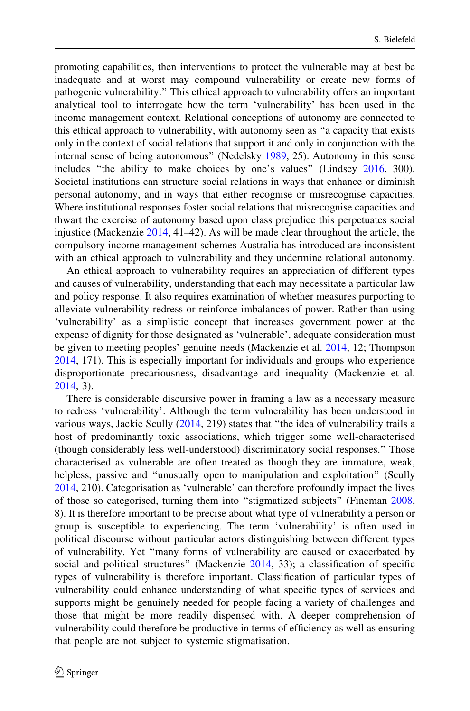promoting capabilities, then interventions to protect the vulnerable may at best be inadequate and at worst may compound vulnerability or create new forms of pathogenic vulnerability.'' This ethical approach to vulnerability offers an important analytical tool to interrogate how the term 'vulnerability' has been used in the income management context. Relational conceptions of autonomy are connected to this ethical approach to vulnerability, with autonomy seen as ''a capacity that exists only in the context of social relations that support it and only in conjunction with the internal sense of being autonomous'' (Nedelsky [1989,](#page-22-0) 25). Autonomy in this sense includes ''the ability to make choices by one's values'' (Lindsey [2016,](#page-21-0) 300). Societal institutions can structure social relations in ways that enhance or diminish personal autonomy, and in ways that either recognise or misrecognise capacities. Where institutional responses foster social relations that misrecognise capacities and thwart the exercise of autonomy based upon class prejudice this perpetuates social injustice (Mackenzie [2014](#page-21-0), 41–42). As will be made clear throughout the article, the compulsory income management schemes Australia has introduced are inconsistent with an ethical approach to vulnerability and they undermine relational autonomy.

An ethical approach to vulnerability requires an appreciation of different types and causes of vulnerability, understanding that each may necessitate a particular law and policy response. It also requires examination of whether measures purporting to alleviate vulnerability redress or reinforce imbalances of power. Rather than using 'vulnerability' as a simplistic concept that increases government power at the expense of dignity for those designated as 'vulnerable', adequate consideration must be given to meeting peoples' genuine needs (Mackenzie et al. [2014,](#page-22-0) 12; Thompson [2014,](#page-22-0) 171). This is especially important for individuals and groups who experience disproportionate precariousness, disadvantage and inequality (Mackenzie et al. [2014,](#page-22-0) 3).

There is considerable discursive power in framing a law as a necessary measure to redress 'vulnerability'. Although the term vulnerability has been understood in various ways, Jackie Scully ([2014,](#page-22-0) 219) states that ''the idea of vulnerability trails a host of predominantly toxic associations, which trigger some well-characterised (though considerably less well-understood) discriminatory social responses.'' Those characterised as vulnerable are often treated as though they are immature, weak, helpless, passive and ''unusually open to manipulation and exploitation'' (Scully [2014,](#page-22-0) 210). Categorisation as 'vulnerable' can therefore profoundly impact the lives of those so categorised, turning them into ''stigmatized subjects'' (Fineman [2008,](#page-21-0) 8). It is therefore important to be precise about what type of vulnerability a person or group is susceptible to experiencing. The term 'vulnerability' is often used in political discourse without particular actors distinguishing between different types of vulnerability. Yet ''many forms of vulnerability are caused or exacerbated by social and political structures" (Mackenzie [2014,](#page-21-0) 33); a classification of specific types of vulnerability is therefore important. Classification of particular types of vulnerability could enhance understanding of what specific types of services and supports might be genuinely needed for people facing a variety of challenges and those that might be more readily dispensed with. A deeper comprehension of vulnerability could therefore be productive in terms of efficiency as well as ensuring that people are not subject to systemic stigmatisation.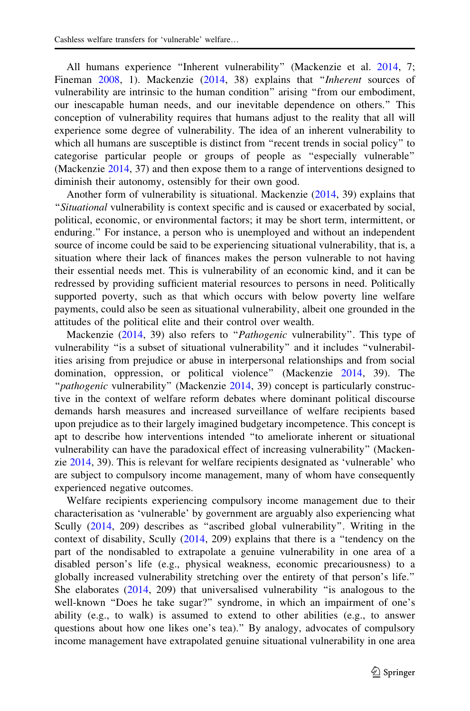All humans experience "Inherent vulnerability" (Mackenzie et al. [2014,](#page-22-0) 7; Fineman [2008](#page-21-0), 1). Mackenzie ([2014,](#page-21-0) 38) explains that "*Inherent* sources of vulnerability are intrinsic to the human condition'' arising ''from our embodiment, our inescapable human needs, and our inevitable dependence on others.'' This conception of vulnerability requires that humans adjust to the reality that all will experience some degree of vulnerability. The idea of an inherent vulnerability to which all humans are susceptible is distinct from "recent trends in social policy" to categorise particular people or groups of people as ''especially vulnerable'' (Mackenzie [2014](#page-21-0), 37) and then expose them to a range of interventions designed to diminish their autonomy, ostensibly for their own good.

Another form of vulnerability is situational. Mackenzie ([2014,](#page-21-0) 39) explains that ''Situational vulnerability is context specific and is caused or exacerbated by social, political, economic, or environmental factors; it may be short term, intermittent, or enduring.'' For instance, a person who is unemployed and without an independent source of income could be said to be experiencing situational vulnerability, that is, a situation where their lack of finances makes the person vulnerable to not having their essential needs met. This is vulnerability of an economic kind, and it can be redressed by providing sufficient material resources to persons in need. Politically supported poverty, such as that which occurs with below poverty line welfare payments, could also be seen as situational vulnerability, albeit one grounded in the attitudes of the political elite and their control over wealth.

Mackenzie ([2014,](#page-21-0) 39) also refers to "Pathogenic vulnerability". This type of vulnerability ''is a subset of situational vulnerability'' and it includes ''vulnerabilities arising from prejudice or abuse in interpersonal relationships and from social domination, oppression, or political violence'' (Mackenzie [2014](#page-21-0), 39). The "*pathogenic* vulnerability" (Mackenzie [2014,](#page-21-0) 39) concept is particularly constructive in the context of welfare reform debates where dominant political discourse demands harsh measures and increased surveillance of welfare recipients based upon prejudice as to their largely imagined budgetary incompetence. This concept is apt to describe how interventions intended ''to ameliorate inherent or situational vulnerability can have the paradoxical effect of increasing vulnerability'' (Mackenzie [2014](#page-21-0), 39). This is relevant for welfare recipients designated as 'vulnerable' who are subject to compulsory income management, many of whom have consequently experienced negative outcomes.

Welfare recipients experiencing compulsory income management due to their characterisation as 'vulnerable' by government are arguably also experiencing what Scully ([2014,](#page-22-0) 209) describes as "ascribed global vulnerability". Writing in the context of disability, Scully ([2014,](#page-22-0) 209) explains that there is a ''tendency on the part of the nondisabled to extrapolate a genuine vulnerability in one area of a disabled person's life (e.g., physical weakness, economic precariousness) to a globally increased vulnerability stretching over the entirety of that person's life.'' She elaborates [\(2014](#page-22-0), 209) that universalised vulnerability ''is analogous to the well-known "Does he take sugar?" syndrome, in which an impairment of one's ability (e.g., to walk) is assumed to extend to other abilities (e.g., to answer questions about how one likes one's tea).'' By analogy, advocates of compulsory income management have extrapolated genuine situational vulnerability in one area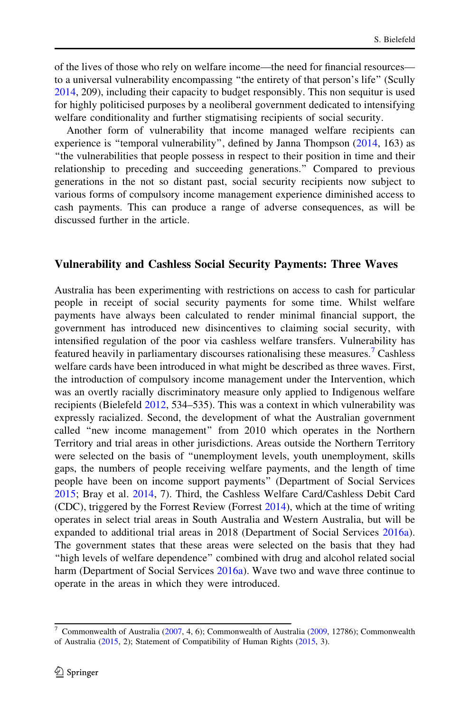of the lives of those who rely on welfare income—the need for financial resources to a universal vulnerability encompassing ''the entirety of that person's life'' (Scully [2014,](#page-22-0) 209), including their capacity to budget responsibly. This non sequitur is used for highly politicised purposes by a neoliberal government dedicated to intensifying welfare conditionality and further stigmatising recipients of social security.

Another form of vulnerability that income managed welfare recipients can experience is "temporal vulnerability", defined by Janna Thompson [\(2014](#page-22-0), 163) as ''the vulnerabilities that people possess in respect to their position in time and their relationship to preceding and succeeding generations.'' Compared to previous generations in the not so distant past, social security recipients now subject to various forms of compulsory income management experience diminished access to cash payments. This can produce a range of adverse consequences, as will be discussed further in the article.

#### Vulnerability and Cashless Social Security Payments: Three Waves

Australia has been experimenting with restrictions on access to cash for particular people in receipt of social security payments for some time. Whilst welfare payments have always been calculated to render minimal financial support, the government has introduced new disincentives to claiming social security, with intensified regulation of the poor via cashless welfare transfers. Vulnerability has featured heavily in parliamentary discourses rationalising these measures.<sup>7</sup> Cashless welfare cards have been introduced in what might be described as three waves. First, the introduction of compulsory income management under the Intervention, which was an overtly racially discriminatory measure only applied to Indigenous welfare recipients (Bielefeld [2012](#page-20-0), 534–535). This was a context in which vulnerability was expressly racialized. Second, the development of what the Australian government called ''new income management'' from 2010 which operates in the Northern Territory and trial areas in other jurisdictions. Areas outside the Northern Territory were selected on the basis of ''unemployment levels, youth unemployment, skills gaps, the numbers of people receiving welfare payments, and the length of time people have been on income support payments'' (Department of Social Services [2015;](#page-21-0) Bray et al. [2014](#page-20-0), 7). Third, the Cashless Welfare Card/Cashless Debit Card (CDC), triggered by the Forrest Review (Forrest [2014\)](#page-21-0), which at the time of writing operates in select trial areas in South Australia and Western Australia, but will be expanded to additional trial areas in 2018 (Department of Social Services [2016a\)](#page-21-0). The government states that these areas were selected on the basis that they had "high levels of welfare dependence" combined with drug and alcohol related social harm (Department of Social Services [2016a](#page-21-0)). Wave two and wave three continue to operate in the areas in which they were introduced.

<sup>7</sup> Commonwealth of Australia [\(2007](#page-20-0), 4, 6); Commonwealth of Australia [\(2009](#page-20-0), 12786); Commonwealth of Australia ([2015,](#page-20-0) 2); Statement of Compatibility of Human Rights [\(2015](#page-22-0), 3).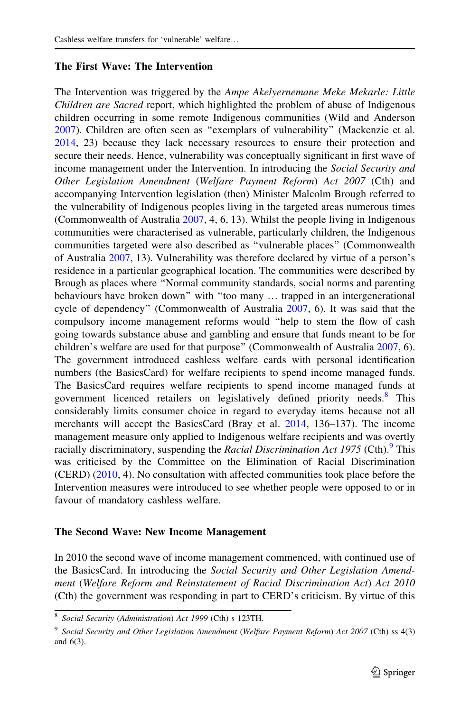#### The First Wave: The Intervention

The Intervention was triggered by the Ampe Akelyernemane Meke Mekarle: Little Children are Sacred report, which highlighted the problem of abuse of Indigenous children occurring in some remote Indigenous communities (Wild and Anderson [2007\)](#page-22-0). Children are often seen as ''exemplars of vulnerability'' (Mackenzie et al. [2014,](#page-22-0) 23) because they lack necessary resources to ensure their protection and secure their needs. Hence, vulnerability was conceptually significant in first wave of income management under the Intervention. In introducing the Social Security and Other Legislation Amendment (Welfare Payment Reform) Act 2007 (Cth) and accompanying Intervention legislation (then) Minister Malcolm Brough referred to the vulnerability of Indigenous peoples living in the targeted areas numerous times (Commonwealth of Australia [2007,](#page-20-0) 4, 6, 13). Whilst the people living in Indigenous communities were characterised as vulnerable, particularly children, the Indigenous communities targeted were also described as ''vulnerable places'' (Commonwealth of Australia [2007,](#page-20-0) 13). Vulnerability was therefore declared by virtue of a person's residence in a particular geographical location. The communities were described by Brough as places where ''Normal community standards, social norms and parenting behaviours have broken down'' with ''too many … trapped in an intergenerational cycle of dependency'' (Commonwealth of Australia [2007](#page-20-0), 6). It was said that the compulsory income management reforms would ''help to stem the flow of cash going towards substance abuse and gambling and ensure that funds meant to be for children's welfare are used for that purpose'' (Commonwealth of Australia [2007,](#page-20-0) 6). The government introduced cashless welfare cards with personal identification numbers (the BasicsCard) for welfare recipients to spend income managed funds. The BasicsCard requires welfare recipients to spend income managed funds at government licenced retailers on legislatively defined priority needs.<sup>8</sup> This considerably limits consumer choice in regard to everyday items because not all merchants will accept the BasicsCard (Bray et al. [2014,](#page-20-0) 136–137). The income management measure only applied to Indigenous welfare recipients and was overtly racially discriminatory, suspending the *Racial Discrimination Act 1975* (Cth).<sup>9</sup> This was criticised by the Committee on the Elimination of Racial Discrimination (CERD) [\(2010](#page-20-0), 4). No consultation with affected communities took place before the Intervention measures were introduced to see whether people were opposed to or in favour of mandatory cashless welfare.

#### The Second Wave: New Income Management

In 2010 the second wave of income management commenced, with continued use of the BasicsCard. In introducing the Social Security and Other Legislation Amendment (Welfare Reform and Reinstatement of Racial Discrimination Act) Act 2010 (Cth) the government was responding in part to CERD's criticism. By virtue of this

<sup>8</sup> Social Security (Administration) Act 1999 (Cth) s 123TH.

<sup>9</sup> Social Security and Other Legislation Amendment (Welfare Payment Reform) Act 2007 (Cth) ss 4(3) and 6(3).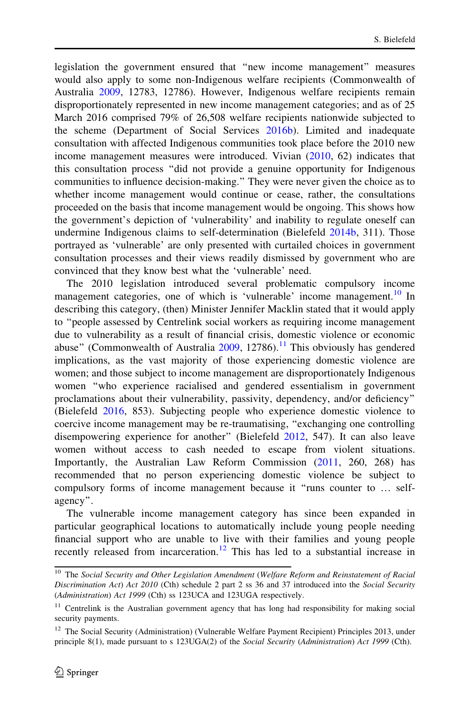legislation the government ensured that ''new income management'' measures would also apply to some non-Indigenous welfare recipients (Commonwealth of Australia [2009,](#page-20-0) 12783, 12786). However, Indigenous welfare recipients remain disproportionately represented in new income management categories; and as of 25 March 2016 comprised 79% of 26,508 welfare recipients nationwide subjected to the scheme (Department of Social Services [2016b\)](#page-21-0). Limited and inadequate consultation with affected Indigenous communities took place before the 2010 new income management measures were introduced. Vivian [\(2010](#page-22-0), 62) indicates that this consultation process ''did not provide a genuine opportunity for Indigenous communities to influence decision-making.'' They were never given the choice as to whether income management would continue or cease, rather, the consultations proceeded on the basis that income management would be ongoing. This shows how the government's depiction of 'vulnerability' and inability to regulate oneself can undermine Indigenous claims to self-determination (Bielefeld [2014b](#page-20-0), 311). Those portrayed as 'vulnerable' are only presented with curtailed choices in government consultation processes and their views readily dismissed by government who are convinced that they know best what the 'vulnerable' need.

The 2010 legislation introduced several problematic compulsory income management categories, one of which is 'vulnerable' income management.<sup>10</sup> In describing this category, (then) Minister Jennifer Macklin stated that it would apply to ''people assessed by Centrelink social workers as requiring income management due to vulnerability as a result of financial crisis, domestic violence or economic abuse" (Commonwealth of Australia  $2009$ ,  $12786$ ).<sup>11</sup> This obviously has gendered implications, as the vast majority of those experiencing domestic violence are women; and those subject to income management are disproportionately Indigenous women ''who experience racialised and gendered essentialism in government proclamations about their vulnerability, passivity, dependency, and/or deficiency'' (Bielefeld [2016](#page-20-0), 853). Subjecting people who experience domestic violence to coercive income management may be re-traumatising, ''exchanging one controlling disempowering experience for another" (Bielefeld [2012,](#page-20-0) 547). It can also leave women without access to cash needed to escape from violent situations. Importantly, the Australian Law Reform Commission ([2011,](#page-20-0) 260, 268) has recommended that no person experiencing domestic violence be subject to compulsory forms of income management because it ''runs counter to … selfagency''.

The vulnerable income management category has since been expanded in particular geographical locations to automatically include young people needing financial support who are unable to live with their families and young people recently released from incarceration.<sup>12</sup> This has led to a substantial increase in

 $10$  The Social Security and Other Legislation Amendment (Welfare Reform and Reinstatement of Racial Discrimination Act) Act 2010 (Cth) schedule 2 part 2 ss 36 and 37 introduced into the Social Security (Administration) Act 1999 (Cth) ss 123UCA and 123UGA respectively.

<sup>&</sup>lt;sup>11</sup> Centrelink is the Australian government agency that has long had responsibility for making social security payments.

<sup>&</sup>lt;sup>12</sup> The Social Security (Administration) (Vulnerable Welfare Payment Recipient) Principles 2013, under principle 8(1), made pursuant to s 123UGA(2) of the Social Security (Administration) Act 1999 (Cth).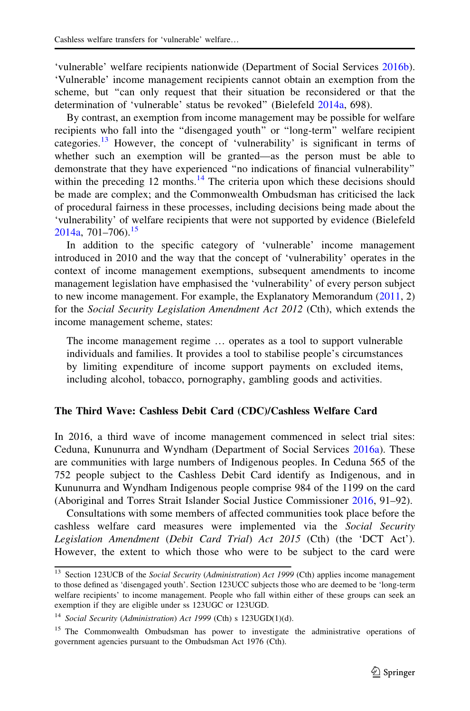'vulnerable' welfare recipients nationwide (Department of Social Services [2016b\)](#page-21-0). 'Vulnerable' income management recipients cannot obtain an exemption from the scheme, but ''can only request that their situation be reconsidered or that the determination of 'vulnerable' status be revoked'' (Bielefeld [2014a,](#page-20-0) 698).

By contrast, an exemption from income management may be possible for welfare recipients who fall into the ''disengaged youth'' or ''long-term'' welfare recipient categories.<sup>13</sup> However, the concept of 'vulnerability' is significant in terms of whether such an exemption will be granted—as the person must be able to demonstrate that they have experienced ''no indications of financial vulnerability'' within the preceding  $12$  months.<sup>14</sup> The criteria upon which these decisions should be made are complex; and the Commonwealth Ombudsman has criticised the lack of procedural fairness in these processes, including decisions being made about the 'vulnerability' of welfare recipients that were not supported by evidence (Bielefeld [2014a](#page-20-0), 701–706).<sup>15</sup>

In addition to the specific category of 'vulnerable' income management introduced in 2010 and the way that the concept of 'vulnerability' operates in the context of income management exemptions, subsequent amendments to income management legislation have emphasised the 'vulnerability' of every person subject to new income management. For example, the Explanatory Memorandum ([2011,](#page-21-0) 2) for the Social Security Legislation Amendment Act 2012 (Cth), which extends the income management scheme, states:

The income management regime … operates as a tool to support vulnerable individuals and families. It provides a tool to stabilise people's circumstances by limiting expenditure of income support payments on excluded items, including alcohol, tobacco, pornography, gambling goods and activities.

#### The Third Wave: Cashless Debit Card (CDC)/Cashless Welfare Card

In 2016, a third wave of income management commenced in select trial sites: Ceduna, Kununurra and Wyndham (Department of Social Services [2016a\)](#page-21-0). These are communities with large numbers of Indigenous peoples. In Ceduna 565 of the 752 people subject to the Cashless Debit Card identify as Indigenous, and in Kununurra and Wyndham Indigenous people comprise 984 of the 1199 on the card (Aboriginal and Torres Strait Islander Social Justice Commissioner [2016](#page-20-0), 91–92).

Consultations with some members of affected communities took place before the cashless welfare card measures were implemented via the Social Security Legislation Amendment (Debit Card Trial) Act 2015 (Cth) (the 'DCT Act'). However, the extent to which those who were to be subject to the card were

<sup>&</sup>lt;sup>13</sup> Section 123UCB of the Social Security (Administration) Act 1999 (Cth) applies income management to those defined as 'disengaged youth'. Section 123UCC subjects those who are deemed to be 'long-term welfare recipients' to income management. People who fall within either of these groups can seek an exemption if they are eligible under ss 123UGC or 123UGD.

<sup>&</sup>lt;sup>14</sup> Social Security (Administration) Act 1999 (Cth) s 123UGD(1)(d).

<sup>&</sup>lt;sup>15</sup> The Commonwealth Ombudsman has power to investigate the administrative operations of government agencies pursuant to the Ombudsman Act 1976 (Cth).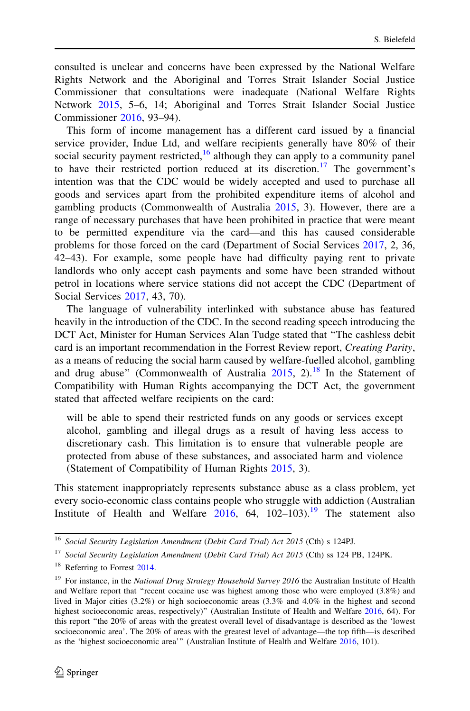consulted is unclear and concerns have been expressed by the National Welfare Rights Network and the Aboriginal and Torres Strait Islander Social Justice Commissioner that consultations were inadequate (National Welfare Rights Network [2015,](#page-22-0) 5–6, 14; Aboriginal and Torres Strait Islander Social Justice Commissioner [2016,](#page-20-0) 93–94).

This form of income management has a different card issued by a financial service provider, Indue Ltd, and welfare recipients generally have 80% of their social security payment restricted,  $16$  although they can apply to a community panel to have their restricted portion reduced at its discretion.<sup>17</sup> The government's intention was that the CDC would be widely accepted and used to purchase all goods and services apart from the prohibited expenditure items of alcohol and gambling products (Commonwealth of Australia [2015](#page-20-0), 3). However, there are a range of necessary purchases that have been prohibited in practice that were meant to be permitted expenditure via the card—and this has caused considerable problems for those forced on the card (Department of Social Services [2017](#page-21-0), 2, 36, 42–43). For example, some people have had difficulty paying rent to private landlords who only accept cash payments and some have been stranded without petrol in locations where service stations did not accept the CDC (Department of Social Services [2017,](#page-21-0) 43, 70).

The language of vulnerability interlinked with substance abuse has featured heavily in the introduction of the CDC. In the second reading speech introducing the DCT Act, Minister for Human Services Alan Tudge stated that ''The cashless debit card is an important recommendation in the Forrest Review report, Creating Parity, as a means of reducing the social harm caused by welfare-fuelled alcohol, gambling and drug abuse" (Commonwealth of Australia  $2015$ , 2).<sup>18</sup> In the Statement of Compatibility with Human Rights accompanying the DCT Act, the government stated that affected welfare recipients on the card:

will be able to spend their restricted funds on any goods or services except alcohol, gambling and illegal drugs as a result of having less access to discretionary cash. This limitation is to ensure that vulnerable people are protected from abuse of these substances, and associated harm and violence (Statement of Compatibility of Human Rights [2015,](#page-22-0) 3).

This statement inappropriately represents substance abuse as a class problem, yet every socio-economic class contains people who struggle with addiction (Australian Institute of Health and Welfare  $2016$ , 64,  $102-103$ ).<sup>19</sup> The statement also

<sup>&</sup>lt;sup>16</sup> Social Security Legislation Amendment (Debit Card Trial) Act 2015 (Cth) s 124PJ.

<sup>&</sup>lt;sup>17</sup> Social Security Legislation Amendment (Debit Card Trial) Act 2015 (Cth) ss 124 PB, 124PK.

<sup>&</sup>lt;sup>18</sup> Referring to Forrest [2014](#page-21-0).

<sup>&</sup>lt;sup>19</sup> For instance, in the National Drug Strategy Household Survey 2016 the Australian Institute of Health and Welfare report that ''recent cocaine use was highest among those who were employed (3.8%) and lived in Major cities (3.2%) or high socioeconomic areas (3.3% and 4.0% in the highest and second highest socioeconomic areas, respectively)" (Australian Institute of Health and Welfare [2016](#page-20-0), 64). For this report ''the 20% of areas with the greatest overall level of disadvantage is described as the 'lowest socioeconomic area'. The 20% of areas with the greatest level of advantage—the top fifth—is described as the 'highest socioeconomic area''' (Australian Institute of Health and Welfare [2016,](#page-20-0) 101).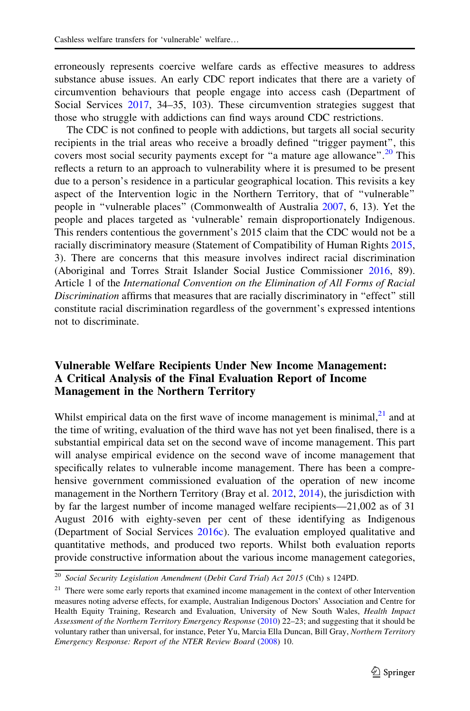erroneously represents coercive welfare cards as effective measures to address substance abuse issues. An early CDC report indicates that there are a variety of circumvention behaviours that people engage into access cash (Department of Social Services [2017](#page-21-0), 34–35, 103). These circumvention strategies suggest that those who struggle with addictions can find ways around CDC restrictions.

The CDC is not confined to people with addictions, but targets all social security recipients in the trial areas who receive a broadly defined ''trigger payment'', this covers most social security payments except for "a mature age allowance".<sup>20</sup> This reflects a return to an approach to vulnerability where it is presumed to be present due to a person's residence in a particular geographical location. This revisits a key aspect of the Intervention logic in the Northern Territory, that of ''vulnerable'' people in ''vulnerable places'' (Commonwealth of Australia [2007](#page-20-0), 6, 13). Yet the people and places targeted as 'vulnerable' remain disproportionately Indigenous. This renders contentious the government's 2015 claim that the CDC would not be a racially discriminatory measure (Statement of Compatibility of Human Rights [2015,](#page-22-0) 3). There are concerns that this measure involves indirect racial discrimination (Aboriginal and Torres Strait Islander Social Justice Commissioner [2016,](#page-20-0) 89). Article 1 of the International Convention on the Elimination of All Forms of Racial Discrimination affirms that measures that are racially discriminatory in ''effect'' still constitute racial discrimination regardless of the government's expressed intentions not to discriminate.

# Vulnerable Welfare Recipients Under New Income Management: A Critical Analysis of the Final Evaluation Report of Income Management in the Northern Territory

Whilst empirical data on the first wave of income management is minimal, $^{21}$  and at the time of writing, evaluation of the third wave has not yet been finalised, there is a substantial empirical data set on the second wave of income management. This part will analyse empirical evidence on the second wave of income management that specifically relates to vulnerable income management. There has been a comprehensive government commissioned evaluation of the operation of new income management in the Northern Territory (Bray et al. [2012](#page-20-0), [2014](#page-20-0)), the jurisdiction with by far the largest number of income managed welfare recipients—21,002 as of 31 August 2016 with eighty-seven per cent of these identifying as Indigenous (Department of Social Services [2016c](#page-21-0)). The evaluation employed qualitative and quantitative methods, and produced two reports. Whilst both evaluation reports provide constructive information about the various income management categories,

 $^{20}$  Social Security Legislation Amendment (Debit Card Trial) Act 2015 (Cth) s 124PD.

<sup>&</sup>lt;sup>21</sup> There were some early reports that examined income management in the context of other Intervention measures noting adverse effects, for example, Australian Indigenous Doctors' Association and Centre for Health Equity Training, Research and Evaluation, University of New South Wales, *Health Impact* Assessment of the Northern Territory Emergency Response [\(2010](#page-20-0)) 22–23; and suggesting that it should be voluntary rather than universal, for instance, Peter Yu, Marcia Ella Duncan, Bill Gray, Northern Territory Emergency Response: Report of the NTER Review Board ([2008](#page-22-0)) 10.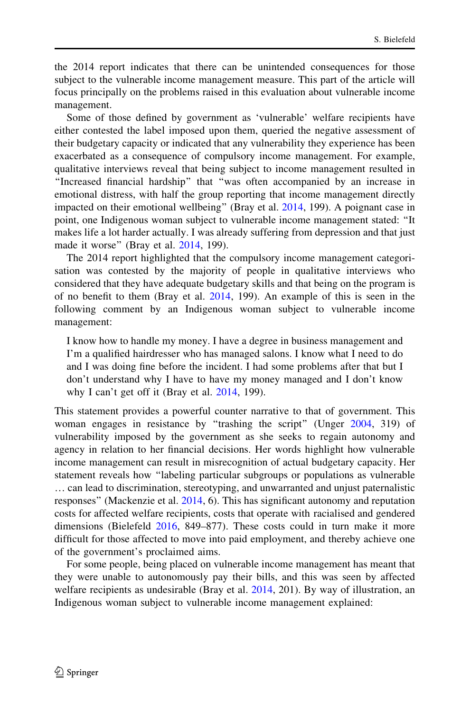the 2014 report indicates that there can be unintended consequences for those subject to the vulnerable income management measure. This part of the article will focus principally on the problems raised in this evaluation about vulnerable income management.

Some of those defined by government as 'vulnerable' welfare recipients have either contested the label imposed upon them, queried the negative assessment of their budgetary capacity or indicated that any vulnerability they experience has been exacerbated as a consequence of compulsory income management. For example, qualitative interviews reveal that being subject to income management resulted in ''Increased financial hardship'' that ''was often accompanied by an increase in emotional distress, with half the group reporting that income management directly impacted on their emotional wellbeing'' (Bray et al. [2014,](#page-20-0) 199). A poignant case in point, one Indigenous woman subject to vulnerable income management stated: ''It makes life a lot harder actually. I was already suffering from depression and that just made it worse'' (Bray et al. [2014](#page-20-0), 199).

The 2014 report highlighted that the compulsory income management categorisation was contested by the majority of people in qualitative interviews who considered that they have adequate budgetary skills and that being on the program is of no benefit to them (Bray et al. [2014,](#page-20-0) 199). An example of this is seen in the following comment by an Indigenous woman subject to vulnerable income management:

I know how to handle my money. I have a degree in business management and I'm a qualified hairdresser who has managed salons. I know what I need to do and I was doing fine before the incident. I had some problems after that but I don't understand why I have to have my money managed and I don't know why I can't get off it (Bray et al. [2014](#page-20-0), 199).

This statement provides a powerful counter narrative to that of government. This woman engages in resistance by "trashing the script" (Unger [2004,](#page-22-0) 319) of vulnerability imposed by the government as she seeks to regain autonomy and agency in relation to her financial decisions. Her words highlight how vulnerable income management can result in misrecognition of actual budgetary capacity. Her statement reveals how ''labeling particular subgroups or populations as vulnerable … can lead to discrimination, stereotyping, and unwarranted and unjust paternalistic responses'' (Mackenzie et al. [2014,](#page-22-0) 6). This has significant autonomy and reputation costs for affected welfare recipients, costs that operate with racialised and gendered dimensions (Bielefeld [2016,](#page-20-0) 849–877). These costs could in turn make it more difficult for those affected to move into paid employment, and thereby achieve one of the government's proclaimed aims.

For some people, being placed on vulnerable income management has meant that they were unable to autonomously pay their bills, and this was seen by affected welfare recipients as undesirable (Bray et al. [2014](#page-20-0), 201). By way of illustration, an Indigenous woman subject to vulnerable income management explained: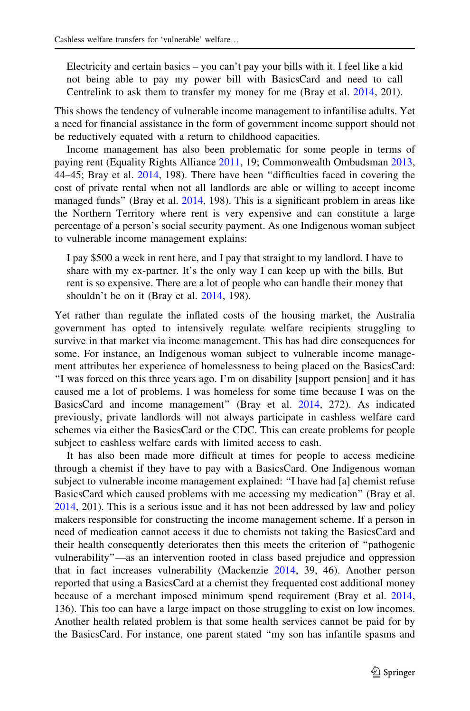Electricity and certain basics – you can't pay your bills with it. I feel like a kid not being able to pay my power bill with BasicsCard and need to call Centrelink to ask them to transfer my money for me (Bray et al. [2014](#page-20-0), 201).

This shows the tendency of vulnerable income management to infantilise adults. Yet a need for financial assistance in the form of government income support should not be reductively equated with a return to childhood capacities.

Income management has also been problematic for some people in terms of paying rent (Equality Rights Alliance [2011,](#page-21-0) 19; Commonwealth Ombudsman [2013,](#page-21-0) 44–45; Bray et al. [2014,](#page-20-0) 198). There have been ''difficulties faced in covering the cost of private rental when not all landlords are able or willing to accept income managed funds'' (Bray et al. [2014,](#page-20-0) 198). This is a significant problem in areas like the Northern Territory where rent is very expensive and can constitute a large percentage of a person's social security payment. As one Indigenous woman subject to vulnerable income management explains:

I pay \$500 a week in rent here, and I pay that straight to my landlord. I have to share with my ex-partner. It's the only way I can keep up with the bills. But rent is so expensive. There are a lot of people who can handle their money that shouldn't be on it (Bray et al. [2014](#page-20-0), 198).

Yet rather than regulate the inflated costs of the housing market, the Australia government has opted to intensively regulate welfare recipients struggling to survive in that market via income management. This has had dire consequences for some. For instance, an Indigenous woman subject to vulnerable income management attributes her experience of homelessness to being placed on the BasicsCard: ''I was forced on this three years ago. I'm on disability [support pension] and it has caused me a lot of problems. I was homeless for some time because I was on the BasicsCard and income management'' (Bray et al. [2014](#page-20-0), 272). As indicated previously, private landlords will not always participate in cashless welfare card schemes via either the BasicsCard or the CDC. This can create problems for people subject to cashless welfare cards with limited access to cash.

It has also been made more difficult at times for people to access medicine through a chemist if they have to pay with a BasicsCard. One Indigenous woman subject to vulnerable income management explained: ''I have had [a] chemist refuse BasicsCard which caused problems with me accessing my medication'' (Bray et al. [2014,](#page-20-0) 201). This is a serious issue and it has not been addressed by law and policy makers responsible for constructing the income management scheme. If a person in need of medication cannot access it due to chemists not taking the BasicsCard and their health consequently deteriorates then this meets the criterion of ''pathogenic vulnerability''—as an intervention rooted in class based prejudice and oppression that in fact increases vulnerability (Mackenzie [2014,](#page-21-0) 39, 46). Another person reported that using a BasicsCard at a chemist they frequented cost additional money because of a merchant imposed minimum spend requirement (Bray et al. [2014,](#page-20-0) 136). This too can have a large impact on those struggling to exist on low incomes. Another health related problem is that some health services cannot be paid for by the BasicsCard. For instance, one parent stated ''my son has infantile spasms and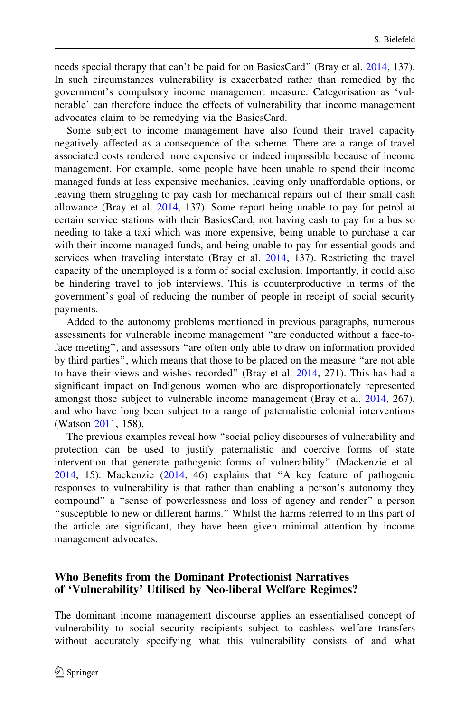needs special therapy that can't be paid for on BasicsCard'' (Bray et al. [2014](#page-20-0), 137). In such circumstances vulnerability is exacerbated rather than remedied by the government's compulsory income management measure. Categorisation as 'vulnerable' can therefore induce the effects of vulnerability that income management advocates claim to be remedying via the BasicsCard.

Some subject to income management have also found their travel capacity negatively affected as a consequence of the scheme. There are a range of travel associated costs rendered more expensive or indeed impossible because of income management. For example, some people have been unable to spend their income managed funds at less expensive mechanics, leaving only unaffordable options, or leaving them struggling to pay cash for mechanical repairs out of their small cash allowance (Bray et al. [2014,](#page-20-0) 137). Some report being unable to pay for petrol at certain service stations with their BasicsCard, not having cash to pay for a bus so needing to take a taxi which was more expensive, being unable to purchase a car with their income managed funds, and being unable to pay for essential goods and services when traveling interstate (Bray et al. [2014](#page-20-0), 137). Restricting the travel capacity of the unemployed is a form of social exclusion. Importantly, it could also be hindering travel to job interviews. This is counterproductive in terms of the government's goal of reducing the number of people in receipt of social security payments.

Added to the autonomy problems mentioned in previous paragraphs, numerous assessments for vulnerable income management ''are conducted without a face-toface meeting'', and assessors ''are often only able to draw on information provided by third parties'', which means that those to be placed on the measure ''are not able to have their views and wishes recorded'' (Bray et al. [2014](#page-20-0), 271). This has had a significant impact on Indigenous women who are disproportionately represented amongst those subject to vulnerable income management (Bray et al. [2014](#page-20-0), 267), and who have long been subject to a range of paternalistic colonial interventions (Watson [2011](#page-22-0), 158).

The previous examples reveal how ''social policy discourses of vulnerability and protection can be used to justify paternalistic and coercive forms of state intervention that generate pathogenic forms of vulnerability'' (Mackenzie et al. [2014,](#page-22-0) 15). Mackenzie ([2014,](#page-21-0) 46) explains that ''A key feature of pathogenic responses to vulnerability is that rather than enabling a person's autonomy they compound'' a ''sense of powerlessness and loss of agency and render'' a person "susceptible to new or different harms." Whilst the harms referred to in this part of the article are significant, they have been given minimal attention by income management advocates.

## Who Benefits from the Dominant Protectionist Narratives of 'Vulnerability' Utilised by Neo-liberal Welfare Regimes?

The dominant income management discourse applies an essentialised concept of vulnerability to social security recipients subject to cashless welfare transfers without accurately specifying what this vulnerability consists of and what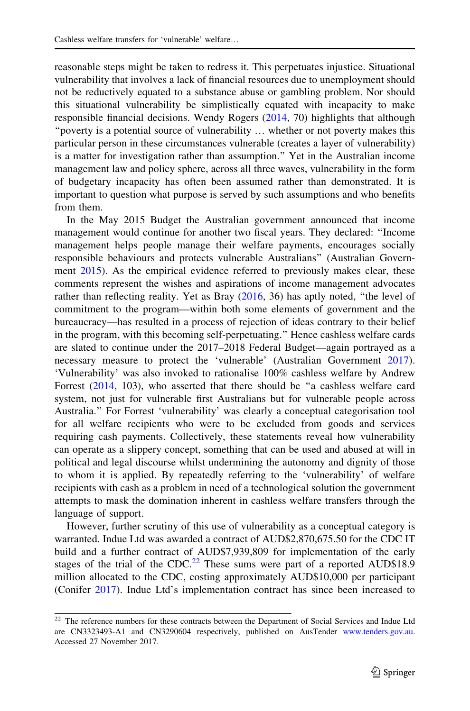reasonable steps might be taken to redress it. This perpetuates injustice. Situational vulnerability that involves a lack of financial resources due to unemployment should not be reductively equated to a substance abuse or gambling problem. Nor should this situational vulnerability be simplistically equated with incapacity to make responsible financial decisions. Wendy Rogers ([2014,](#page-22-0) 70) highlights that although ''poverty is a potential source of vulnerability … whether or not poverty makes this particular person in these circumstances vulnerable (creates a layer of vulnerability) is a matter for investigation rather than assumption.'' Yet in the Australian income management law and policy sphere, across all three waves, vulnerability in the form of budgetary incapacity has often been assumed rather than demonstrated. It is important to question what purpose is served by such assumptions and who benefits from them.

In the May 2015 Budget the Australian government announced that income management would continue for another two fiscal years. They declared: ''Income management helps people manage their welfare payments, encourages socially responsible behaviours and protects vulnerable Australians'' (Australian Govern-ment [2015](#page-20-0)). As the empirical evidence referred to previously makes clear, these comments represent the wishes and aspirations of income management advocates rather than reflecting reality. Yet as Bray [\(2016,](#page-20-0) 36) has aptly noted, "the level of commitment to the program—within both some elements of government and the bureaucracy—has resulted in a process of rejection of ideas contrary to their belief in the program, with this becoming self-perpetuating.'' Hence cashless welfare cards are slated to continue under the 2017–2018 Federal Budget—again portrayed as a necessary measure to protect the 'vulnerable' (Australian Government [2017\)](#page-20-0). 'Vulnerability' was also invoked to rationalise 100% cashless welfare by Andrew Forrest ([2014,](#page-21-0) 103), who asserted that there should be "a cashless welfare card system, not just for vulnerable first Australians but for vulnerable people across Australia.'' For Forrest 'vulnerability' was clearly a conceptual categorisation tool for all welfare recipients who were to be excluded from goods and services requiring cash payments. Collectively, these statements reveal how vulnerability can operate as a slippery concept, something that can be used and abused at will in political and legal discourse whilst undermining the autonomy and dignity of those to whom it is applied. By repeatedly referring to the 'vulnerability' of welfare recipients with cash as a problem in need of a technological solution the government attempts to mask the domination inherent in cashless welfare transfers through the language of support.

However, further scrutiny of this use of vulnerability as a conceptual category is warranted. Indue Ltd was awarded a contract of AUD\$2,870,675.50 for the CDC IT build and a further contract of AUD\$7,939,809 for implementation of the early stages of the trial of the CDC.<sup>22</sup> These sums were part of a reported AUD\$18.9 million allocated to the CDC, costing approximately AUD\$10,000 per participant (Conifer [2017\)](#page-21-0). Indue Ltd's implementation contract has since been increased to

 $\overline{22}$  The reference numbers for these contracts between the Department of Social Services and Indue Ltd are CN3323493-A1 and CN3290604 respectively, published on AusTender [www.tenders.gov.au](http://www.tenders.gov.au). Accessed 27 November 2017.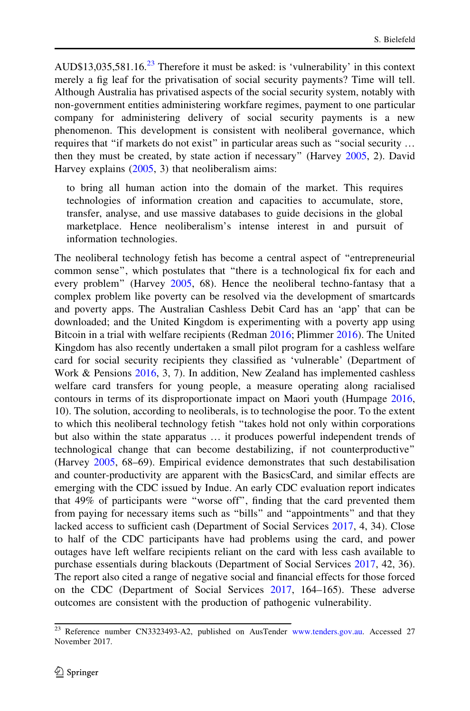AUD\$13,035,581.16.<sup>23</sup> Therefore it must be asked: is 'vulnerability' in this context merely a fig leaf for the privatisation of social security payments? Time will tell. Although Australia has privatised aspects of the social security system, notably with non-government entities administering workfare regimes, payment to one particular company for administering delivery of social security payments is a new phenomenon. This development is consistent with neoliberal governance, which requires that ''if markets do not exist'' in particular areas such as ''social security … then they must be created, by state action if necessary'' (Harvey [2005](#page-21-0), 2). David Harvey explains ([2005,](#page-21-0) 3) that neoliberalism aims:

to bring all human action into the domain of the market. This requires technologies of information creation and capacities to accumulate, store, transfer, analyse, and use massive databases to guide decisions in the global marketplace. Hence neoliberalism's intense interest in and pursuit of information technologies.

The neoliberal technology fetish has become a central aspect of ''entrepreneurial common sense'', which postulates that ''there is a technological fix for each and every problem" (Harvey [2005](#page-21-0), 68). Hence the neoliberal techno-fantasy that a complex problem like poverty can be resolved via the development of smartcards and poverty apps. The Australian Cashless Debit Card has an 'app' that can be downloaded; and the United Kingdom is experimenting with a poverty app using Bitcoin in a trial with welfare recipients (Redman [2016](#page-22-0); Plimmer [2016\)](#page-22-0). The United Kingdom has also recently undertaken a small pilot program for a cashless welfare card for social security recipients they classified as 'vulnerable' (Department of Work & Pensions [2016](#page-21-0), 3, 7). In addition, New Zealand has implemented cashless welfare card transfers for young people, a measure operating along racialised contours in terms of its disproportionate impact on Maori youth (Humpage [2016,](#page-21-0) 10). The solution, according to neoliberals, is to technologise the poor. To the extent to which this neoliberal technology fetish ''takes hold not only within corporations but also within the state apparatus … it produces powerful independent trends of technological change that can become destabilizing, if not counterproductive'' (Harvey [2005,](#page-21-0) 68–69). Empirical evidence demonstrates that such destabilisation and counter-productivity are apparent with the BasicsCard, and similar effects are emerging with the CDC issued by Indue. An early CDC evaluation report indicates that 49% of participants were ''worse off'', finding that the card prevented them from paying for necessary items such as ''bills'' and ''appointments'' and that they lacked access to sufficient cash (Department of Social Services [2017,](#page-21-0) 4, 34). Close to half of the CDC participants have had problems using the card, and power outages have left welfare recipients reliant on the card with less cash available to purchase essentials during blackouts (Department of Social Services [2017](#page-21-0), 42, 36). The report also cited a range of negative social and financial effects for those forced on the CDC (Department of Social Services [2017,](#page-21-0) 164–165). These adverse outcomes are consistent with the production of pathogenic vulnerability.

<sup>23</sup> Reference number CN3323493-A2, published on AusTender [www.tenders.gov.au.](http://www.tenders.gov.au) Accessed 27 November 2017.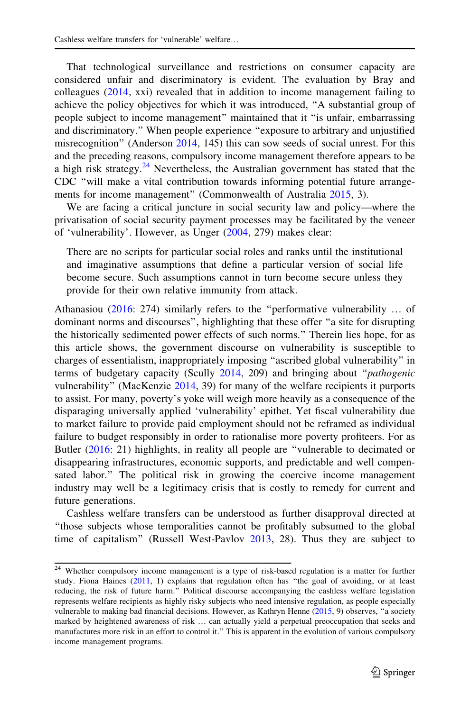That technological surveillance and restrictions on consumer capacity are considered unfair and discriminatory is evident. The evaluation by Bray and colleagues [\(2014](#page-20-0), xxi) revealed that in addition to income management failing to achieve the policy objectives for which it was introduced, ''A substantial group of people subject to income management'' maintained that it ''is unfair, embarrassing and discriminatory.'' When people experience ''exposure to arbitrary and unjustified misrecognition'' (Anderson [2014,](#page-20-0) 145) this can sow seeds of social unrest. For this and the preceding reasons, compulsory income management therefore appears to be a high risk strategy.<sup>24</sup> Nevertheless, the Australian government has stated that the CDC ''will make a vital contribution towards informing potential future arrange-ments for income management" (Commonwealth of Australia [2015](#page-20-0), 3).

We are facing a critical juncture in social security law and policy—where the privatisation of social security payment processes may be facilitated by the veneer of 'vulnerability'. However, as Unger [\(2004](#page-22-0), 279) makes clear:

There are no scripts for particular social roles and ranks until the institutional and imaginative assumptions that define a particular version of social life become secure. Such assumptions cannot in turn become secure unless they provide for their own relative immunity from attack.

Athanasiou [\(2016](#page-20-0): 274) similarly refers to the ''performative vulnerability … of dominant norms and discourses'', highlighting that these offer ''a site for disrupting the historically sedimented power effects of such norms.'' Therein lies hope, for as this article shows, the government discourse on vulnerability is susceptible to charges of essentialism, inappropriately imposing ''ascribed global vulnerability'' in terms of budgetary capacity (Scully [2014](#page-22-0), 209) and bringing about "*pathogenic* vulnerability'' (MacKenzie [2014](#page-21-0), 39) for many of the welfare recipients it purports to assist. For many, poverty's yoke will weigh more heavily as a consequence of the disparaging universally applied 'vulnerability' epithet. Yet fiscal vulnerability due to market failure to provide paid employment should not be reframed as individual failure to budget responsibly in order to rationalise more poverty profiteers. For as Butler ([2016:](#page-20-0) 21) highlights, in reality all people are ''vulnerable to decimated or disappearing infrastructures, economic supports, and predictable and well compensated labor.'' The political risk in growing the coercive income management industry may well be a legitimacy crisis that is costly to remedy for current and future generations.

Cashless welfare transfers can be understood as further disapproval directed at ''those subjects whose temporalities cannot be profitably subsumed to the global time of capitalism" (Russell West-Pavlov [2013,](#page-22-0) 28). Thus they are subject to

<sup>&</sup>lt;sup>24</sup> Whether compulsory income management is a type of risk-based regulation is a matter for further study. Fiona Haines ([2011](#page-21-0), 1) explains that regulation often has ''the goal of avoiding, or at least reducing, the risk of future harm.'' Political discourse accompanying the cashless welfare legislation represents welfare recipients as highly risky subjects who need intensive regulation, as people especially vulnerable to making bad financial decisions. However, as Kathryn Henne ([2015,](#page-21-0) 9) observes, ''a society marked by heightened awareness of risk … can actually yield a perpetual preoccupation that seeks and manufactures more risk in an effort to control it.'' This is apparent in the evolution of various compulsory income management programs.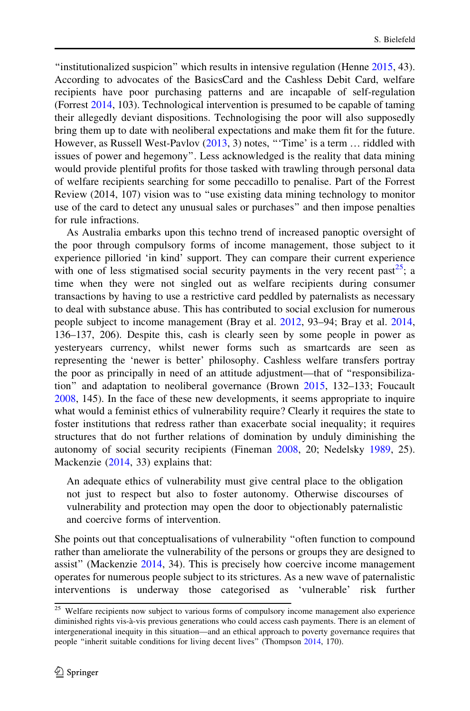''institutionalized suspicion'' which results in intensive regulation (Henne [2015,](#page-21-0) 43). According to advocates of the BasicsCard and the Cashless Debit Card, welfare recipients have poor purchasing patterns and are incapable of self-regulation (Forrest [2014](#page-21-0), 103). Technological intervention is presumed to be capable of taming their allegedly deviant dispositions. Technologising the poor will also supposedly bring them up to date with neoliberal expectations and make them fit for the future. However, as Russell West-Pavlov ([2013,](#page-22-0) 3) notes, "Time' is a term ... riddled with issues of power and hegemony''. Less acknowledged is the reality that data mining would provide plentiful profits for those tasked with trawling through personal data of welfare recipients searching for some peccadillo to penalise. Part of the Forrest Review (2014, 107) vision was to ''use existing data mining technology to monitor use of the card to detect any unusual sales or purchases'' and then impose penalties for rule infractions.

As Australia embarks upon this techno trend of increased panoptic oversight of the poor through compulsory forms of income management, those subject to it experience pilloried 'in kind' support. They can compare their current experience with one of less stigmatised social security payments in the very recent past<sup>25</sup>; a time when they were not singled out as welfare recipients during consumer transactions by having to use a restrictive card peddled by paternalists as necessary to deal with substance abuse. This has contributed to social exclusion for numerous people subject to income management (Bray et al. [2012,](#page-20-0) 93–94; Bray et al. [2014,](#page-20-0) 136–137, 206). Despite this, cash is clearly seen by some people in power as yesteryears currency, whilst newer forms such as smartcards are seen as representing the 'newer is better' philosophy. Cashless welfare transfers portray the poor as principally in need of an attitude adjustment—that of ''responsibilization'' and adaptation to neoliberal governance (Brown [2015](#page-20-0), 132–133; Foucault [2008,](#page-21-0) 145). In the face of these new developments, it seems appropriate to inquire what would a feminist ethics of vulnerability require? Clearly it requires the state to foster institutions that redress rather than exacerbate social inequality; it requires structures that do not further relations of domination by unduly diminishing the autonomy of social security recipients (Fineman [2008,](#page-21-0) 20; Nedelsky [1989](#page-22-0), 25). Mackenzie ([2014,](#page-21-0) 33) explains that:

An adequate ethics of vulnerability must give central place to the obligation not just to respect but also to foster autonomy. Otherwise discourses of vulnerability and protection may open the door to objectionably paternalistic and coercive forms of intervention.

She points out that conceptualisations of vulnerability ''often function to compound rather than ameliorate the vulnerability of the persons or groups they are designed to assist'' (Mackenzie [2014,](#page-21-0) 34). This is precisely how coercive income management operates for numerous people subject to its strictures. As a new wave of paternalistic interventions is underway those categorised as 'vulnerable' risk further

<sup>&</sup>lt;sup>25</sup> Welfare recipients now subject to various forms of compulsory income management also experience diminished rights vis-à-vis previous generations who could access cash payments. There is an element of intergenerational inequity in this situation—and an ethical approach to poverty governance requires that people ''inherit suitable conditions for living decent lives'' (Thompson [2014](#page-22-0), 170).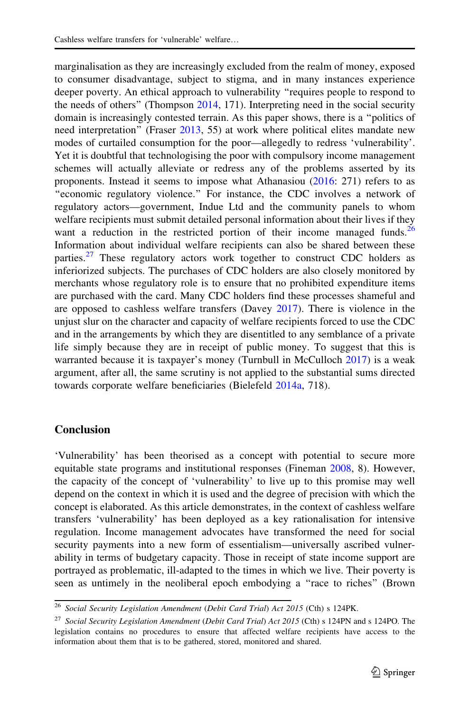marginalisation as they are increasingly excluded from the realm of money, exposed to consumer disadvantage, subject to stigma, and in many instances experience deeper poverty. An ethical approach to vulnerability ''requires people to respond to the needs of others'' (Thompson [2014](#page-22-0), 171). Interpreting need in the social security domain is increasingly contested terrain. As this paper shows, there is a ''politics of need interpretation'' (Fraser [2013](#page-21-0), 55) at work where political elites mandate new modes of curtailed consumption for the poor—allegedly to redress 'vulnerability'. Yet it is doubtful that technologising the poor with compulsory income management schemes will actually alleviate or redress any of the problems asserted by its proponents. Instead it seems to impose what Athanasiou ([2016:](#page-20-0) 271) refers to as ''economic regulatory violence.'' For instance, the CDC involves a network of regulatory actors—government, Indue Ltd and the community panels to whom welfare recipients must submit detailed personal information about their lives if they want a reduction in the restricted portion of their income managed funds.  $26$ Information about individual welfare recipients can also be shared between these parties.<sup>27</sup> These regulatory actors work together to construct CDC holders as inferiorized subjects. The purchases of CDC holders are also closely monitored by merchants whose regulatory role is to ensure that no prohibited expenditure items are purchased with the card. Many CDC holders find these processes shameful and are opposed to cashless welfare transfers (Davey [2017\)](#page-21-0). There is violence in the unjust slur on the character and capacity of welfare recipients forced to use the CDC and in the arrangements by which they are disentitled to any semblance of a private life simply because they are in receipt of public money. To suggest that this is warranted because it is taxpayer's money (Turnbull in McCulloch [2017](#page-22-0)) is a weak argument, after all, the same scrutiny is not applied to the substantial sums directed towards corporate welfare beneficiaries (Bielefeld [2014a](#page-20-0), 718).

### Conclusion

'Vulnerability' has been theorised as a concept with potential to secure more equitable state programs and institutional responses (Fineman [2008,](#page-21-0) 8). However, the capacity of the concept of 'vulnerability' to live up to this promise may well depend on the context in which it is used and the degree of precision with which the concept is elaborated. As this article demonstrates, in the context of cashless welfare transfers 'vulnerability' has been deployed as a key rationalisation for intensive regulation. Income management advocates have transformed the need for social security payments into a new form of essentialism—universally ascribed vulnerability in terms of budgetary capacity. Those in receipt of state income support are portrayed as problematic, ill-adapted to the times in which we live. Their poverty is seen as untimely in the neoliberal epoch embodying a ''race to riches'' (Brown

<sup>&</sup>lt;sup>26</sup> Social Security Legislation Amendment (Debit Card Trial) Act 2015 (Cth) s 124PK.

 $27$  Social Security Legislation Amendment (Debit Card Trial) Act 2015 (Cth) s 124PN and s 124PO. The legislation contains no procedures to ensure that affected welfare recipients have access to the information about them that is to be gathered, stored, monitored and shared.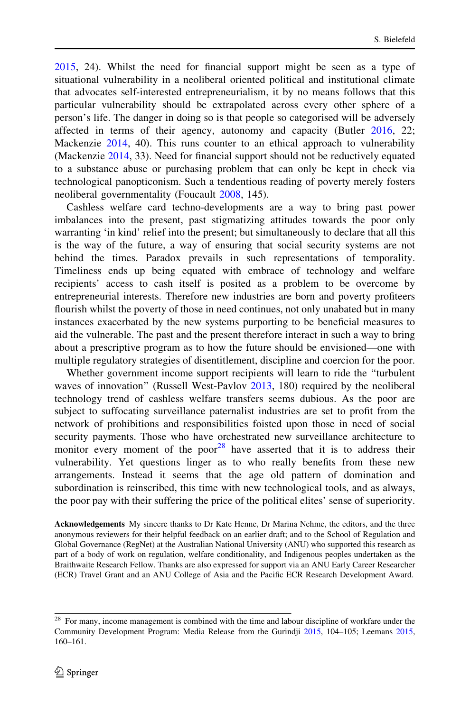[2015,](#page-20-0) 24). Whilst the need for financial support might be seen as a type of situational vulnerability in a neoliberal oriented political and institutional climate that advocates self-interested entrepreneurialism, it by no means follows that this particular vulnerability should be extrapolated across every other sphere of a person's life. The danger in doing so is that people so categorised will be adversely affected in terms of their agency, autonomy and capacity (Butler [2016](#page-20-0), 22; Mackenzie [2014,](#page-21-0) 40). This runs counter to an ethical approach to vulnerability (Mackenzie [2014,](#page-21-0) 33). Need for financial support should not be reductively equated to a substance abuse or purchasing problem that can only be kept in check via technological panopticonism. Such a tendentious reading of poverty merely fosters neoliberal governmentality (Foucault [2008](#page-21-0), 145).

Cashless welfare card techno-developments are a way to bring past power imbalances into the present, past stigmatizing attitudes towards the poor only warranting 'in kind' relief into the present; but simultaneously to declare that all this is the way of the future, a way of ensuring that social security systems are not behind the times. Paradox prevails in such representations of temporality. Timeliness ends up being equated with embrace of technology and welfare recipients' access to cash itself is posited as a problem to be overcome by entrepreneurial interests. Therefore new industries are born and poverty profiteers flourish whilst the poverty of those in need continues, not only unabated but in many instances exacerbated by the new systems purporting to be beneficial measures to aid the vulnerable. The past and the present therefore interact in such a way to bring about a prescriptive program as to how the future should be envisioned—one with multiple regulatory strategies of disentitlement, discipline and coercion for the poor.

Whether government income support recipients will learn to ride the ''turbulent waves of innovation'' (Russell West-Pavlov [2013](#page-22-0), 180) required by the neoliberal technology trend of cashless welfare transfers seems dubious. As the poor are subject to suffocating surveillance paternalist industries are set to profit from the network of prohibitions and responsibilities foisted upon those in need of social security payments. Those who have orchestrated new surveillance architecture to monitor every moment of the poor<sup>28</sup> have asserted that it is to address their vulnerability. Yet questions linger as to who really benefits from these new arrangements. Instead it seems that the age old pattern of domination and subordination is reinscribed, this time with new technological tools, and as always, the poor pay with their suffering the price of the political elites' sense of superiority.

Acknowledgements My sincere thanks to Dr Kate Henne, Dr Marina Nehme, the editors, and the three anonymous reviewers for their helpful feedback on an earlier draft; and to the School of Regulation and Global Governance (RegNet) at the Australian National University (ANU) who supported this research as part of a body of work on regulation, welfare conditionality, and Indigenous peoples undertaken as the Braithwaite Research Fellow. Thanks are also expressed for support via an ANU Early Career Researcher (ECR) Travel Grant and an ANU College of Asia and the Pacific ECR Research Development Award.

<sup>&</sup>lt;sup>28</sup> For many, income management is combined with the time and labour discipline of workfare under the Community Development Program: Media Release from the Gurindji [2015](#page-22-0), 104–105; Leemans [2015](#page-21-0), 160–161.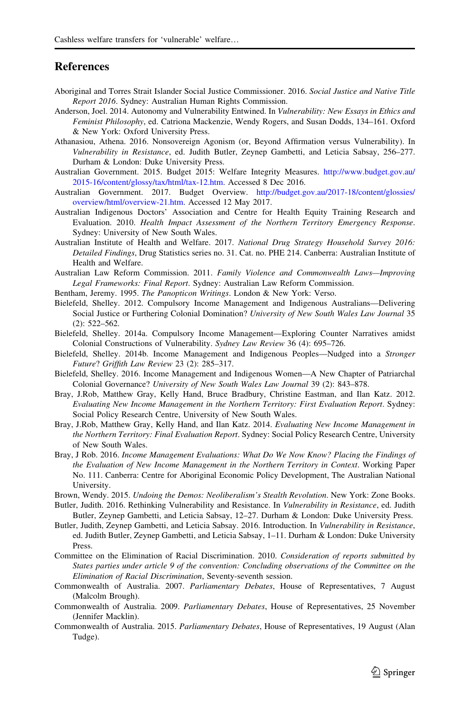#### <span id="page-20-0"></span>**References**

- Aboriginal and Torres Strait Islander Social Justice Commissioner. 2016. Social Justice and Native Title Report 2016. Sydney: Australian Human Rights Commission.
- Anderson, Joel. 2014. Autonomy and Vulnerability Entwined. In Vulnerability: New Essays in Ethics and Feminist Philosophy, ed. Catriona Mackenzie, Wendy Rogers, and Susan Dodds, 134–161. Oxford & New York: Oxford University Press.
- Athanasiou, Athena. 2016. Nonsovereign Agonism (or, Beyond Affirmation versus Vulnerability). In Vulnerability in Resistance, ed. Judith Butler, Zeynep Gambetti, and Leticia Sabsay, 256–277. Durham & London: Duke University Press.
- Australian Government. 2015. Budget 2015: Welfare Integrity Measures. [http://www.budget.gov.au/](http://www.budget.gov.au/2015-16/content/glossy/tax/html/tax-12.htm) [2015-16/content/glossy/tax/html/tax-12.htm.](http://www.budget.gov.au/2015-16/content/glossy/tax/html/tax-12.htm) Accessed 8 Dec 2016.
- Australian Government. 2017. Budget Overview. [http://budget.gov.au/2017-18/content/glossies/](http://budget.gov.au/2017-18/content/glossies/overview/html/overview-21.htm) [overview/html/overview-21.htm](http://budget.gov.au/2017-18/content/glossies/overview/html/overview-21.htm). Accessed 12 May 2017.
- Australian Indigenous Doctors' Association and Centre for Health Equity Training Research and Evaluation. 2010. Health Impact Assessment of the Northern Territory Emergency Response. Sydney: University of New South Wales.
- Australian Institute of Health and Welfare. 2017. National Drug Strategy Household Survey 2016: Detailed Findings, Drug Statistics series no. 31. Cat. no. PHE 214. Canberra: Australian Institute of Health and Welfare.
- Australian Law Reform Commission. 2011. Family Violence and Commonwealth Laws—Improving Legal Frameworks: Final Report. Sydney: Australian Law Reform Commission.
- Bentham, Jeremy. 1995. The Panopticon Writings. London & New York: Verso.
- Bielefeld, Shelley. 2012. Compulsory Income Management and Indigenous Australians—Delivering Social Justice or Furthering Colonial Domination? University of New South Wales Law Journal 35 (2): 522–562.
- Bielefeld, Shelley. 2014a. Compulsory Income Management—Exploring Counter Narratives amidst Colonial Constructions of Vulnerability. Sydney Law Review 36 (4): 695–726.
- Bielefeld, Shelley. 2014b. Income Management and Indigenous Peoples—Nudged into a Stronger Future? Griffith Law Review 23 (2): 285–317.
- Bielefeld, Shelley. 2016. Income Management and Indigenous Women—A New Chapter of Patriarchal Colonial Governance? University of New South Wales Law Journal 39 (2): 843–878.
- Bray, J.Rob, Matthew Gray, Kelly Hand, Bruce Bradbury, Christine Eastman, and Ilan Katz. 2012. Evaluating New Income Management in the Northern Territory: First Evaluation Report. Sydney: Social Policy Research Centre, University of New South Wales.
- Bray, J.Rob, Matthew Gray, Kelly Hand, and Ilan Katz. 2014. Evaluating New Income Management in the Northern Territory: Final Evaluation Report. Sydney: Social Policy Research Centre, University of New South Wales.
- Bray, J Rob. 2016. Income Management Evaluations: What Do We Now Know? Placing the Findings of the Evaluation of New Income Management in the Northern Territory in Context. Working Paper No. 111. Canberra: Centre for Aboriginal Economic Policy Development, The Australian National University.

Brown, Wendy. 2015. Undoing the Demos: Neoliberalism's Stealth Revolution. New York: Zone Books. Butler, Judith. 2016. Rethinking Vulnerability and Resistance. In Vulnerability in Resistance, ed. Judith

- Butler, Zeynep Gambetti, and Leticia Sabsay, 12–27. Durham & London: Duke University Press.
- Butler, Judith, Zeynep Gambetti, and Leticia Sabsay. 2016. Introduction. In Vulnerability in Resistance, ed. Judith Butler, Zeynep Gambetti, and Leticia Sabsay, 1–11. Durham & London: Duke University Press.
- Committee on the Elimination of Racial Discrimination. 2010. Consideration of reports submitted by States parties under article 9 of the convention: Concluding observations of the Committee on the Elimination of Racial Discrimination, Seventy-seventh session.
- Commonwealth of Australia. 2007. Parliamentary Debates, House of Representatives, 7 August (Malcolm Brough).
- Commonwealth of Australia. 2009. Parliamentary Debates, House of Representatives, 25 November (Jennifer Macklin).
- Commonwealth of Australia. 2015. Parliamentary Debates, House of Representatives, 19 August (Alan Tudge).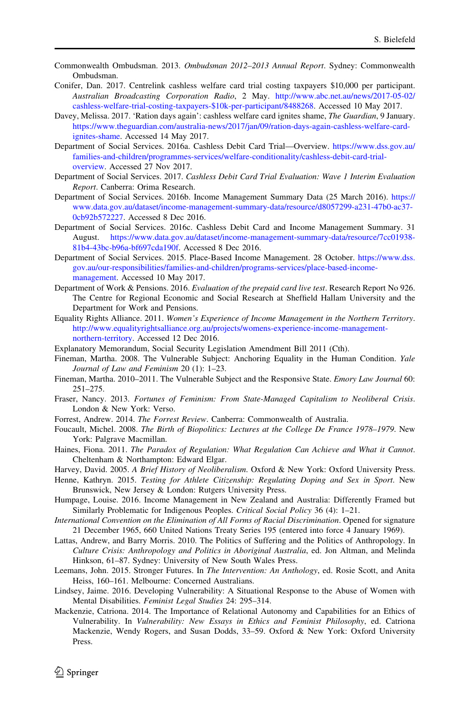- <span id="page-21-0"></span>Commonwealth Ombudsman. 2013. Ombudsman 2012–2013 Annual Report. Sydney: Commonwealth Ombudsman.
- Conifer, Dan. 2017. Centrelink cashless welfare card trial costing taxpayers \$10,000 per participant. Australian Broadcasting Corporation Radio, 2 May. [http://www.abc.net.au/news/2017-05-02/](http://www.abc.net.au/news/2017-05-02/cashless-welfare-trial-costing-taxpayers-%2410k-per-participant/8488268) [cashless-welfare-trial-costing-taxpayers-\\$10k-per-participant/8488268](http://www.abc.net.au/news/2017-05-02/cashless-welfare-trial-costing-taxpayers-%2410k-per-participant/8488268). Accessed 10 May 2017.
- Davey, Melissa. 2017. 'Ration days again': cashless welfare card ignites shame, *The Guardian*, 9 January. [https://www.theguardian.com/australia-news/2017/jan/09/ration-days-again-cashless-welfare-card](https://www.theguardian.com/australia-news/2017/jan/09/ration-days-again-cashless-welfare-card-ignites-shame)[ignites-shame](https://www.theguardian.com/australia-news/2017/jan/09/ration-days-again-cashless-welfare-card-ignites-shame). Accessed 14 May 2017.
- Department of Social Services. 2016a. Cashless Debit Card Trial—Overview. [https://www.dss.gov.au/](https://www.dss.gov.au/families-and-children/programmes-services/welfare-conditionality/cashless-debit-card-trial-overview) [families-and-children/programmes-services/welfare-conditionality/cashless-debit-card-trial](https://www.dss.gov.au/families-and-children/programmes-services/welfare-conditionality/cashless-debit-card-trial-overview)[overview.](https://www.dss.gov.au/families-and-children/programmes-services/welfare-conditionality/cashless-debit-card-trial-overview) Accessed 27 Nov 2017.
- Department of Social Services. 2017. Cashless Debit Card Trial Evaluation: Wave 1 Interim Evaluation Report. Canberra: Orima Research.
- Department of Social Services. 2016b. Income Management Summary Data (25 March 2016). [https://](https://www.data.gov.au/dataset/income-management-summary-data/resource/d8057299-a231-47b0-ac37-0cb92b572227) [www.data.gov.au/dataset/income-management-summary-data/resource/d8057299-a231-47b0-ac37-](https://www.data.gov.au/dataset/income-management-summary-data/resource/d8057299-a231-47b0-ac37-0cb92b572227) [0cb92b572227](https://www.data.gov.au/dataset/income-management-summary-data/resource/d8057299-a231-47b0-ac37-0cb92b572227). Accessed 8 Dec 2016.
- Department of Social Services. 2016c. Cashless Debit Card and Income Management Summary. 31 August. [https://www.data.gov.au/dataset/income-management-summary-data/resource/7cc01938-](https://www.data.gov.au/dataset/income-management-summary-data/resource/7cc01938-81b4-43bc-b96a-bf697cda190f) [81b4-43bc-b96a-bf697cda190f](https://www.data.gov.au/dataset/income-management-summary-data/resource/7cc01938-81b4-43bc-b96a-bf697cda190f). Accessed 8 Dec 2016.
- Department of Social Services. 2015. Place-Based Income Management. 28 October. [https://www.dss.](https://www.dss.gov.au/our-responsibilities/families-and-children/programs-services/place-based-income-management) [gov.au/our-responsibilities/families-and-children/programs-services/place-based-income](https://www.dss.gov.au/our-responsibilities/families-and-children/programs-services/place-based-income-management)[management.](https://www.dss.gov.au/our-responsibilities/families-and-children/programs-services/place-based-income-management) Accessed 10 May 2017.
- Department of Work & Pensions. 2016. Evaluation of the prepaid card live test. Research Report No 926. The Centre for Regional Economic and Social Research at Sheffield Hallam University and the Department for Work and Pensions.
- Equality Rights Alliance. 2011. Women's Experience of Income Management in the Northern Territory. [http://www.equalityrightsalliance.org.au/projects/womens-experience-income-management](http://www.equalityrightsalliance.org.au/projects/womens-experience-income-management-northern-territory)[northern-territory.](http://www.equalityrightsalliance.org.au/projects/womens-experience-income-management-northern-territory) Accessed 12 Dec 2016.
- Explanatory Memorandum, Social Security Legislation Amendment Bill 2011 (Cth).
- Fineman, Martha. 2008. The Vulnerable Subject: Anchoring Equality in the Human Condition. Yale Journal of Law and Feminism 20 (1): 1–23.
- Fineman, Martha. 2010–2011. The Vulnerable Subject and the Responsive State. *Emory Law Journal* 60: 251–275.
- Fraser, Nancy. 2013. Fortunes of Feminism: From State-Managed Capitalism to Neoliberal Crisis. London & New York: Verso.
- Forrest, Andrew. 2014. The Forrest Review. Canberra: Commonwealth of Australia.
- Foucault, Michel. 2008. The Birth of Biopolitics: Lectures at the College De France 1978–1979. New York: Palgrave Macmillan.
- Haines, Fiona. 2011. The Paradox of Regulation: What Regulation Can Achieve and What it Cannot. Cheltenham & Northampton: Edward Elgar.
- Harvey, David. 2005. A Brief History of Neoliberalism. Oxford & New York: Oxford University Press.
- Henne, Kathryn. 2015. Testing for Athlete Citizenship: Regulating Doping and Sex in Sport. New Brunswick, New Jersey & London: Rutgers University Press.
- Humpage, Louise. 2016. Income Management in New Zealand and Australia: Differently Framed but Similarly Problematic for Indigenous Peoples. Critical Social Policy 36 (4): 1–21.
- International Convention on the Elimination of All Forms of Racial Discrimination. Opened for signature 21 December 1965, 660 United Nations Treaty Series 195 (entered into force 4 January 1969).
- Lattas, Andrew, and Barry Morris. 2010. The Politics of Suffering and the Politics of Anthropology. In Culture Crisis: Anthropology and Politics in Aboriginal Australia, ed. Jon Altman, and Melinda Hinkson, 61–87. Sydney: University of New South Wales Press.
- Leemans, John. 2015. Stronger Futures. In The Intervention: An Anthology, ed. Rosie Scott, and Anita Heiss, 160–161. Melbourne: Concerned Australians.
- Lindsey, Jaime. 2016. Developing Vulnerability: A Situational Response to the Abuse of Women with Mental Disabilities. Feminist Legal Studies 24: 295–314.
- Mackenzie, Catriona. 2014. The Importance of Relational Autonomy and Capabilities for an Ethics of Vulnerability. In Vulnerability: New Essays in Ethics and Feminist Philosophy, ed. Catriona Mackenzie, Wendy Rogers, and Susan Dodds, 33–59. Oxford & New York: Oxford University Press.